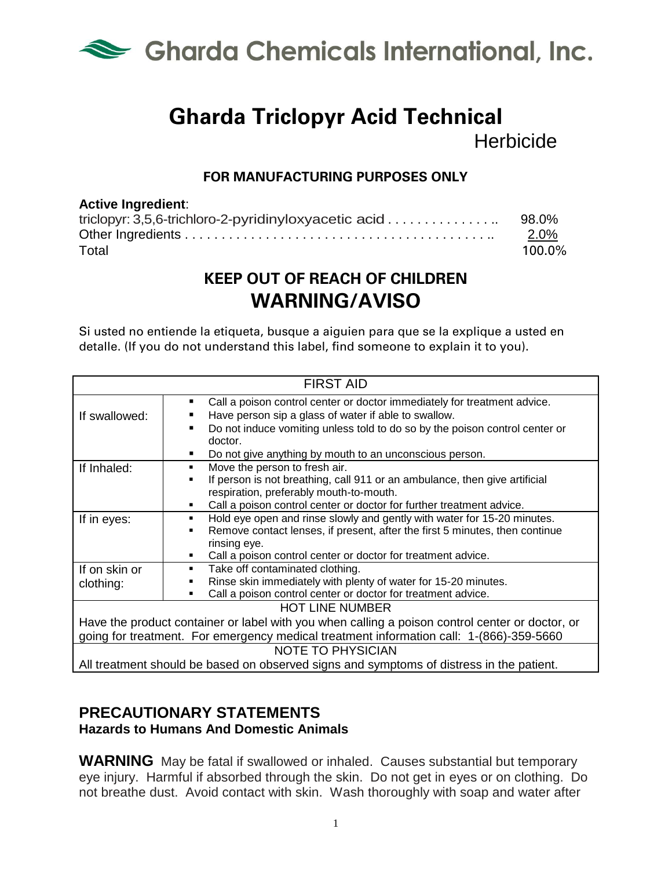

# **Gharda Triclopyr Acid Technical Herbicide**

#### **FOR MANUFACTURING PURPOSES ONLY**

#### **Active Ingredient**:

|       | $2.0\%$ |
|-------|---------|
| Total | 100.0%  |

## **KEEP OUT OF REACH OF CHILDREN WARNING/AVISO**

Si usted no entiende la etiqueta, busque a aiguien para que se la explique a usted en detalle. (If you do not understand this label, find someone to explain it to you).

| <b>FIRST AID</b>                                                                                |                                                                                                                                       |
|-------------------------------------------------------------------------------------------------|---------------------------------------------------------------------------------------------------------------------------------------|
| If swallowed:                                                                                   | Call a poison control center or doctor immediately for treatment advice.<br>٠<br>Have person sip a glass of water if able to swallow. |
|                                                                                                 | Do not induce vomiting unless told to do so by the poison control center or<br>doctor.                                                |
|                                                                                                 | Do not give anything by mouth to an unconscious person.                                                                               |
| If Inhaled:                                                                                     | Move the person to fresh air.<br>٠.                                                                                                   |
|                                                                                                 | If person is not breathing, call 911 or an ambulance, then give artificial                                                            |
|                                                                                                 | respiration, preferably mouth-to-mouth.                                                                                               |
|                                                                                                 | Call a poison control center or doctor for further treatment advice.                                                                  |
| If in eyes:                                                                                     | Hold eye open and rinse slowly and gently with water for 15-20 minutes.<br>٠                                                          |
|                                                                                                 | Remove contact lenses, if present, after the first 5 minutes, then continue                                                           |
|                                                                                                 | rinsing eye.                                                                                                                          |
|                                                                                                 | Call a poison control center or doctor for treatment advice.                                                                          |
| If on skin or                                                                                   | Take off contaminated clothing.<br>٠                                                                                                  |
| clothing:                                                                                       | Rinse skin immediately with plenty of water for 15-20 minutes.                                                                        |
|                                                                                                 | Call a poison control center or doctor for treatment advice.                                                                          |
| <b>HOT LINE NUMBER</b>                                                                          |                                                                                                                                       |
| Have the product container or label with you when calling a poison control center or doctor, or |                                                                                                                                       |
| going for treatment. For emergency medical treatment information call: 1-(866)-359-5660         |                                                                                                                                       |
| <b>NOTE TO PHYSICIAN</b>                                                                        |                                                                                                                                       |
|                                                                                                 | All treatment should be based on observed signs and symptoms of distress in the patient.                                              |

#### **PRECAUTIONARY STATEMENTS Hazards to Humans And Domestic Animals**

**WARNING** May be fatal if swallowed or inhaled. Causes substantial but temporary eye injury. Harmful if absorbed through the skin. Do not get in eyes or on clothing. Do not breathe dust. Avoid contact with skin. Wash thoroughly with soap and water after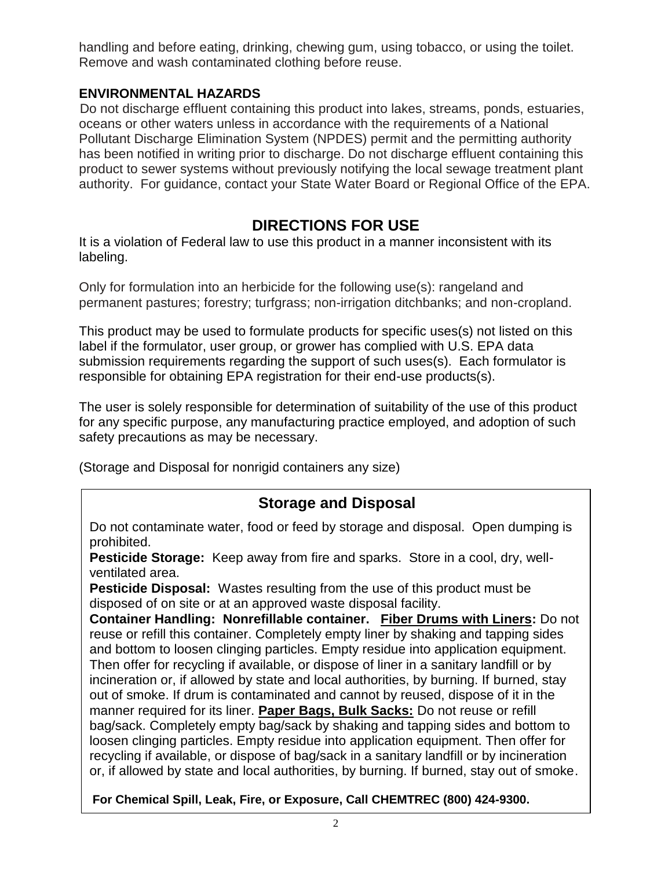handling and before eating, drinking, chewing gum, using tobacco, or using the toilet. Remove and wash contaminated clothing before reuse.

#### **ENVIRONMENTAL HAZARDS**

Do not discharge effluent containing this product into lakes, streams, ponds, estuaries, oceans or other waters unless in accordance with the requirements of a National Pollutant Discharge Elimination System (NPDES) permit and the permitting authority has been notified in writing prior to discharge. Do not discharge effluent containing this product to sewer systems without previously notifying the local sewage treatment plant authority. For guidance, contact your State Water Board or Regional Office of the EPA.

## **DIRECTIONS FOR USE**

It is a violation of Federal law to use this product in a manner inconsistent with its labeling.

Only for formulation into an herbicide for the following use(s): rangeland and permanent pastures; forestry; turfgrass; non-irrigation ditchbanks; and non-cropland.

This product may be used to formulate products for specific uses(s) not listed on this label if the formulator, user group, or grower has complied with U.S. EPA data submission requirements regarding the support of such uses(s). Each formulator is responsible for obtaining EPA registration for their end-use products(s).

The user is solely responsible for determination of suitability of the use of this product for any specific purpose, any manufacturing practice employed, and adoption of such safety precautions as may be necessary.

(Storage and Disposal for nonrigid containers any size)

### **Storage and Disposal**

Do not contaminate water, food or feed by storage and disposal. Open dumping is prohibited.

**Pesticide Storage:** Keep away from fire and sparks. Store in a cool, dry, wellventilated area.

**Pesticide Disposal:** Wastes resulting from the use of this product must be disposed of on site or at an approved waste disposal facility.

**Container Handling: Nonrefillable container. Fiber Drums with Liners:** Do not reuse or refill this container. Completely empty liner by shaking and tapping sides and bottom to loosen clinging particles. Empty residue into application equipment. Then offer for recycling if available, or dispose of liner in a sanitary landfill or by incineration or, if allowed by state and local authorities, by burning. If burned, stay out of smoke. If drum is contaminated and cannot by reused, dispose of it in the manner required for its liner. **Paper Bags, Bulk Sacks:** Do not reuse or refill bag/sack. Completely empty bag/sack by shaking and tapping sides and bottom to loosen clinging particles. Empty residue into application equipment. Then offer for recycling if available, or dispose of bag/sack in a sanitary landfill or by incineration or, if allowed by state and local authorities, by burning. If burned, stay out of smoke.

**For Chemical Spill, Leak, Fire, or Exposure, Call CHEMTREC (800) 424-9300.**